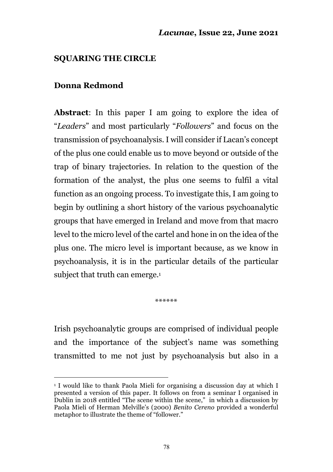#### **SQUARING THE CIRCLE**

#### **Donna Redmond**

**Abstract**: In this paper I am going to explore the idea of "*Leaders*" and most particularly "*Followers*" and focus on the transmission of psychoanalysis. I will consider if Lacan's concept of the plus one could enable us to move beyond or outside of the trap of binary trajectories. In relation to the question of the formation of the analyst, the plus one seems to fulfil a vital function as an ongoing process. To investigate this, I am going to begin by outlining a short history of the various psychoanalytic groups that have emerged in Ireland and move from that macro level to the micro level of the cartel and hone in on the idea of the plus one. The micro level is important because, as we know in psychoanalysis, it is in the particular details of the particular subject that truth can emerge.<sup>1</sup>

\*\*\*\*\*\*

Irish psychoanalytic groups are comprised of individual people and the importance of the subject's name was something transmitted to me not just by psychoanalysis but also in a

<sup>1</sup> I would like to thank Paola Mieli for organising a discussion day at which I presented a version of this paper. It follows on from a seminar I organised in Dublin in 2018 entitled "The scene within the scene," in which a discussion by Paola Mieli of Herman Melville's (2000) *Benito Cereno* provided a wonderful metaphor to illustrate the theme of "follower."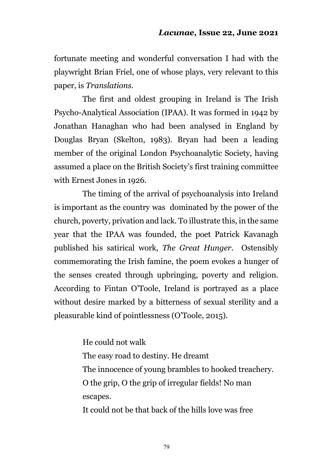fortunate meeting and wonderful conversation I had with the playwright Brian Friel, one of whose plays, very relevant to this paper, is *Translations*.

The first and oldest grouping in Ireland is The Irish Psycho-Analytical Association (IPAA). It was formed in 1942 by Jonathan Hanaghan who had been analysed in England by Douglas Bryan (Skelton, 1983). Bryan had been a leading member of the original London Psychoanalytic Society, having assumed a place on the British Society's first training committee with Ernest Jones in 1926.

The timing of the arrival of psychoanalysis into Ireland is important as the country was dominated by the power of the church, poverty, privation and lack. To illustrate this, in the same year that the IPAA was founded, the poet Patrick Kavanagh published his satirical work, *The Great Hunger*. Ostensibly commemorating the Irish famine, the poem evokes a hunger of the senses created through upbringing, poverty and religion. According to Fintan O'Toole, Ireland is portrayed as a place without desire marked by a bitterness of sexual sterility and a pleasurable kind of pointlessness (O'Toole, 2015).

> He could not walk The easy road to destiny. He dreamt The innocence of young brambles to hooked treachery. O the grip, O the grip of irregular fields! No man escapes. It could not be that back of the hills love was free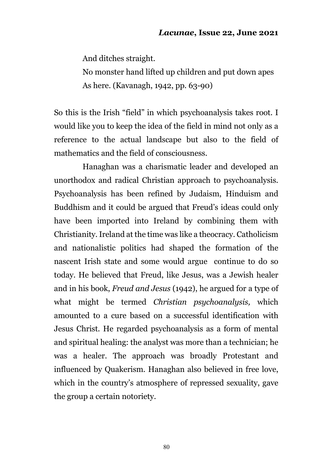And ditches straight.

No monster hand lifted up children and put down apes As here. (Kavanagh, 1942, pp. 63-90)

So this is the Irish "field" in which psychoanalysis takes root. I would like you to keep the idea of the field in mind not only as a reference to the actual landscape but also to the field of mathematics and the field of consciousness.

Hanaghan was a charismatic leader and developed an unorthodox and radical Christian approach to psychoanalysis. Psychoanalysis has been refined by Judaism, Hinduism and Buddhism and it could be argued that Freud's ideas could only have been imported into Ireland by combining them with Christianity. Ireland at the time was like a theocracy. Catholicism and nationalistic politics had shaped the formation of the nascent Irish state and some would argue continue to do so today. He believed that Freud, like Jesus, was a Jewish healer and in his book, *Freud and Jesus* (1942), he argued for a type of what might be termed *Christian psychoanalysis,* which amounted to a cure based on a successful identification with Jesus Christ. He regarded psychoanalysis as a form of mental and spiritual healing: the analyst was more than a technician; he was a healer. The approach was broadly Protestant and influenced by Quakerism. Hanaghan also believed in free love, which in the country's atmosphere of repressed sexuality, gave the group a certain notoriety.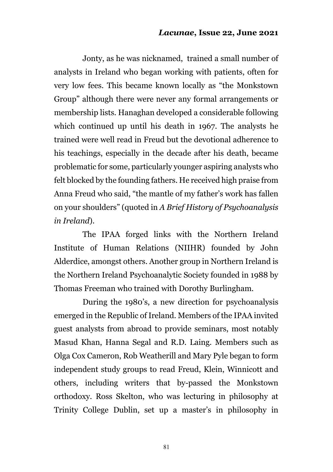Jonty, as he was nicknamed, trained a small number of analysts in Ireland who began working with patients, often for very low fees. This became known locally as "the Monkstown Group" although there were never any formal arrangements or membership lists. Hanaghan developed a considerable following which continued up until his death in 1967. The analysts he trained were well read in Freud but the devotional adherence to his teachings, especially in the decade after his death, became problematic for some, particularly younger aspiring analysts who felt blocked by the founding fathers. He received high praise from Anna Freud who said, "the mantle of my father's work has fallen on your shoulders" (quoted in *A Brief History of Psychoanalysis in Ireland*).

The IPAA forged links with the Northern Ireland Institute of Human Relations (NIIHR) founded by John Alderdice, amongst others. Another group in Northern Ireland is the Northern Ireland Psychoanalytic Society founded in 1988 by Thomas Freeman who trained with Dorothy Burlingham.

During the 1980's, a new direction for psychoanalysis emerged in the Republic of Ireland. Members of the IPAA invited guest analysts from abroad to provide seminars, most notably Masud Khan, Hanna Segal and R.D. Laing. Members such as Olga Cox Cameron, Rob Weatherill and Mary Pyle began to form independent study groups to read Freud, Klein, Winnicott and others, including writers that by-passed the Monkstown orthodoxy. Ross Skelton, who was lecturing in philosophy at Trinity College Dublin, set up a master's in philosophy in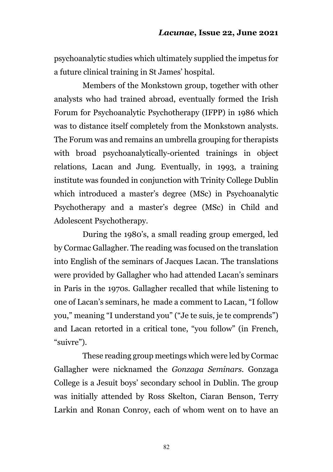psychoanalytic studies which ultimately supplied the impetus for a future clinical training in St James' hospital.

Members of the Monkstown group, together with other analysts who had trained abroad, eventually formed the Irish Forum for Psychoanalytic Psychotherapy (IFPP) in 1986 which was to distance itself completely from the Monkstown analysts. The Forum was and remains an umbrella grouping for therapists with broad psychoanalytically-oriented trainings in object relations, Lacan and Jung. Eventually, in 1993, a training institute was founded in conjunction with Trinity College Dublin which introduced a master's degree (MSc) in Psychoanalytic Psychotherapy and a master's degree (MSc) in Child and Adolescent Psychotherapy.

During the 1980's, a small reading group emerged, led by Cormac Gallagher. The reading was focused on the translation into English of the seminars of Jacques Lacan. The translations were provided by Gallagher who had attended Lacan's seminars in Paris in the 1970s. Gallagher recalled that while listening to one of Lacan's seminars, he made a comment to Lacan, "I follow you," meaning "I understand you" ("Je te suis, je te comprends") and Lacan retorted in a critical tone, "you follow" (in French, "suivre").

These reading group meetings which were led by Cormac Gallagher were nicknamed the *Gonzaga Seminars*. Gonzaga College is a Jesuit boys' secondary school in Dublin. The group was initially attended by Ross Skelton, Ciaran Benson, Terry Larkin and Ronan Conroy, each of whom went on to have an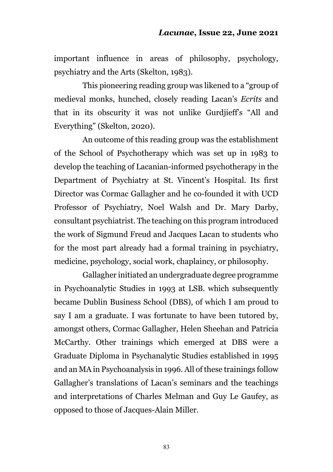important influence in areas of philosophy, psychology, psychiatry and the Arts (Skelton, 1983).

This pioneering reading group was likened to a "group of medieval monks, hunched, closely reading Lacan's *Ecrits* and that in its obscurity it was not unlike Gurdjieff's "All and Everything" (Skelton, 2020).

An outcome of this reading group was the establishment of the School of Psychotherapy which was set up in 1983 to develop the teaching of Lacanian-informed psychotherapy in the Department of Psychiatry at St. Vincent's Hospital. Its first Director was Cormac Gallagher and he co-founded it with UCD Professor of Psychiatry, Noel Walsh and Dr. Mary Darby, consultant psychiatrist. The teaching on this program introduced the work of Sigmund Freud and Jacques Lacan to students who for the most part already had a formal training in psychiatry, medicine, psychology, social work, chaplaincy, or philosophy.

Gallagher initiated an undergraduate degree programme in Psychoanalytic Studies in 1993 at LSB. which subsequently became Dublin Business School (DBS), of which I am proud to say I am a graduate. I was fortunate to have been tutored by, amongst others, Cormac Gallagher, Helen Sheehan and Patricia McCarthy. Other trainings which emerged at DBS were a Graduate Diploma in Psychanalytic Studies established in 1995 and an MA in Psychoanalysis in 1996. All of these trainings follow Gallagher's translations of Lacan's seminars and the teachings and interpretations of Charles Melman and Guy Le Gaufey, as opposed to those of Jacques-Alain Miller.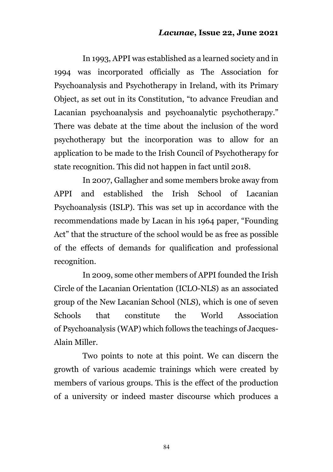In 1993, APPI was established as a learned society and in 1994 was incorporated officially as The Association for Psychoanalysis and Psychotherapy in Ireland, with its Primary Object, as set out in its Constitution, "to advance Freudian and Lacanian psychoanalysis and psychoanalytic psychotherapy." There was debate at the time about the inclusion of the word psychotherapy but the incorporation was to allow for an application to be made to the Irish Council of Psychotherapy for state recognition. This did not happen in fact until 2018.

In 2007, Gallagher and some members broke away from APPI and established the Irish School of Lacanian Psychoanalysis (ISLP). This was set up in accordance with the recommendations made by Lacan in his 1964 paper, "Founding Act" that the structure of the school would be as free as possible of the effects of demands for qualification and professional recognition.

In 2009, some other members of APPI founded the Irish Circle of the Lacanian Orientation (ICLO-NLS) as an associated group of the New Lacanian School (NLS), which is one of seven Schools that constitute the World Association of Psychoanalysis (WAP) which follows the teachings of Jacques-Alain Miller.

Two points to note at this point. We can discern the growth of various academic trainings which were created by members of various groups. This is the effect of the production of a university or indeed master discourse which produces a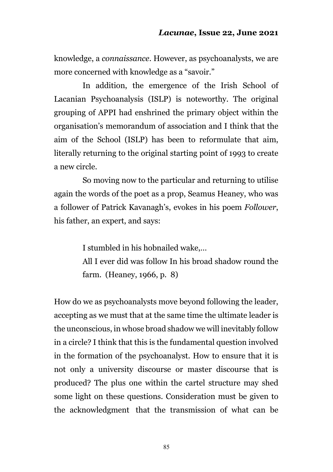knowledge, a *connaissance*. However, as psychoanalysts, we are more concerned with knowledge as a "savoir."

In addition, the emergence of the Irish School of Lacanian Psychoanalysis (ISLP) is noteworthy. The original grouping of APPI had enshrined the primary object within the organisation's memorandum of association and I think that the aim of the School (ISLP) has been to reformulate that aim, literally returning to the original starting point of 1993 to create a new circle.

So moving now to the particular and returning to utilise again the words of the poet as a prop, Seamus Heaney, who was a follower of Patrick Kavanagh's, evokes in his poem *Follower*, his father, an expert, and says:

I stumbled in his hobnailed wake,…

All I ever did was follow In his broad shadow round the farm. (Heaney, 1966, p. 8)

How do we as psychoanalysts move beyond following the leader, accepting as we must that at the same time the ultimate leader is the unconscious, in whose broad shadow we will inevitably follow in a circle? I think that this is the fundamental question involved in the formation of the psychoanalyst. How to ensure that it is not only a university discourse or master discourse that is produced? The plus one within the cartel structure may shed some light on these questions. Consideration must be given to the acknowledgment that the transmission of what can be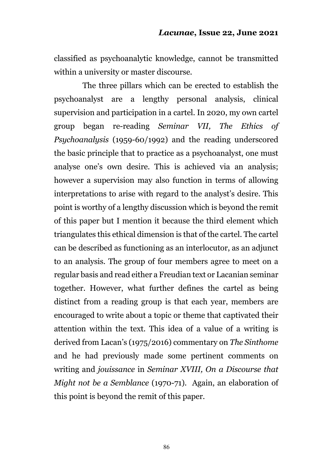classified as psychoanalytic knowledge, cannot be transmitted within a university or master discourse.

The three pillars which can be erected to establish the psychoanalyst are a lengthy personal analysis, clinical supervision and participation in a cartel. In 2020, my own cartel group began re-reading *Seminar VII, The Ethics of Psychoanalysis* (1959-60/1992) and the reading underscored the basic principle that to practice as a psychoanalyst, one must analyse one's own desire. This is achieved via an analysis; however a supervision may also function in terms of allowing interpretations to arise with regard to the analyst's desire. This point is worthy of a lengthy discussion which is beyond the remit of this paper but I mention it because the third element which triangulates this ethical dimension is that of the cartel. The cartel can be described as functioning as an interlocutor, as an adjunct to an analysis. The group of four members agree to meet on a regular basis and read either a Freudian text or Lacanian seminar together. However, what further defines the cartel as being distinct from a reading group is that each year, members are encouraged to write about a topic or theme that captivated their attention within the text. This idea of a value of a writing is derived from Lacan's (1975/2016) commentary on *The Sinthome* and he had previously made some pertinent comments on writing and *jouissance* in *Seminar XVIII, On a Discourse that Might not be a Semblance* (1970-71). Again, an elaboration of this point is beyond the remit of this paper.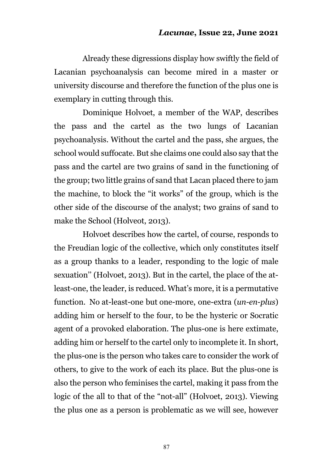Already these digressions display how swiftly the field of Lacanian psychoanalysis can become mired in a master or university discourse and therefore the function of the plus one is exemplary in cutting through this.

Dominique Holvoet, a member of the WAP, describes the pass and the cartel as the two lungs of Lacanian psychoanalysis. Without the cartel and the pass, she argues, the school would suffocate. But she claims one could also say that the pass and the cartel are two grains of sand in the functioning of the group; two little grains of sand that Lacan placed there to jam the machine, to block the "it works" of the group, which is the other side of the discourse of the analyst; two grains of sand to make the School (Holveot, 2013).

Holvoet describes how the cartel, of course, responds to the Freudian logic of the collective, which only constitutes itself as a group thanks to a leader, responding to the logic of male sexuation'' (Holvoet, 2013). But in the cartel, the place of the atleast-one, the leader, is reduced. What's more, it is a permutative function. No at-least-one but one-more, one-extra (*un-en-plus*) adding him or herself to the four, to be the hysteric or Socratic agent of a provoked elaboration. The plus-one is here extimate, adding him or herself to the cartel only to incomplete it. In short, the plus-one is the person who takes care to consider the work of others, to give to the work of each its place. But the plus-one is also the person who feminises the cartel, making it pass from the logic of the all to that of the "not-all" (Holvoet, 2013). Viewing the plus one as a person is problematic as we will see, however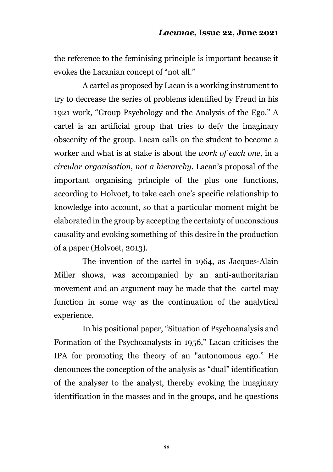the reference to the feminising principle is important because it evokes the Lacanian concept of "not all."

A cartel as proposed by Lacan is a working instrument to try to decrease the series of problems identified by Freud in his 1921 work, "Group Psychology and the Analysis of the Ego." A cartel is an artificial group that tries to defy the imaginary obscenity of the group. Lacan calls on the student to become a worker and what is at stake is about the *work of each one,* in a *circular organisation*, *not a hierarchy*. Lacan's proposal of the important organising principle of the plus one functions, according to Holvoet, to take each one's specific relationship to knowledge into account, so that a particular moment might be elaborated in the group by accepting the certainty of unconscious causality and evoking something of this desire in the production of a paper (Holvoet, 2013).

The invention of the cartel in 1964, as Jacques-Alain Miller shows, was accompanied by an anti-authoritarian movement and an argument may be made that the cartel may function in some way as the continuation of the analytical experience.

In his positional paper, "Situation of Psychoanalysis and Formation of the Psychoanalysts in 1956," Lacan criticises the IPA for promoting the theory of an "autonomous ego." He denounces the conception of the analysis as "dual" identification of the analyser to the analyst, thereby evoking the imaginary identification in the masses and in the groups, and he questions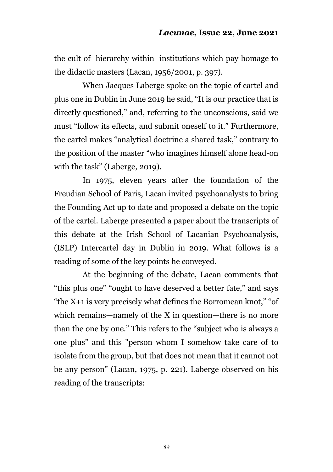the cult of hierarchy within institutions which pay homage to the didactic masters (Lacan, 1956/2001, p. 397).

When Jacques Laberge spoke on the topic of cartel and plus one in Dublin in June 2019 he said, "It is our practice that is directly questioned," and, referring to the unconscious, said we must "follow its effects, and submit oneself to it." Furthermore, the cartel makes "analytical doctrine a shared task," contrary to the position of the master "who imagines himself alone head-on with the task" (Laberge, 2019).

In 1975, eleven years after the foundation of the Freudian School of Paris, Lacan invited psychoanalysts to bring the Founding Act up to date and proposed a debate on the topic of the cartel. Laberge presented a paper about the transcripts of this debate at the Irish School of Lacanian Psychoanalysis, (ISLP) Intercartel day in Dublin in 2019. What follows is a reading of some of the key points he conveyed.

At the beginning of the debate, Lacan comments that "this plus one" "ought to have deserved a better fate," and says "the X+1 is very precisely what defines the Borromean knot," "of which remains—namely of the X in question—there is no more than the one by one." This refers to the "subject who is always a one plus" and this "person whom I somehow take care of to isolate from the group, but that does not mean that it cannot not be any person" (Lacan, 1975, p. 221). Laberge observed on his reading of the transcripts: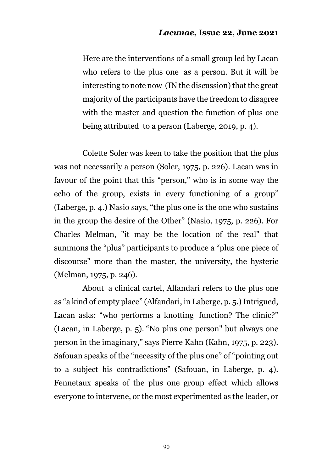Here are the interventions of a small group led by Lacan who refers to the plus one as a person. But it will be interesting to note now (IN the discussion) that the great majority of the participants have the freedom to disagree with the master and question the function of plus one being attributed to a person (Laberge, 2019, p. 4).

Colette Soler was keen to take the position that the plus was not necessarily a person (Soler, 1975, p. 226). Lacan was in favour of the point that this "person," who is in some way the echo of the group, exists in every functioning of a group" (Laberge, p. 4.) Nasio says, "the plus one is the one who sustains in the group the desire of the Other" (Nasio, 1975, p. 226). For Charles Melman, "it may be the location of the real" that summons the "plus" participants to produce a "plus one piece of discourse" more than the master, the university, the hysteric (Melman, 1975, p. 246).

About a clinical cartel, Alfandari refers to the plus one as "a kind of empty place" (Alfandari, in Laberge, p. 5.) Intrigued, Lacan asks: "who performs a knotting function? The clinic?" (Lacan, in Laberge, p. 5). "No plus one person" but always one person in the imaginary," says Pierre Kahn (Kahn, 1975, p. 223). Safouan speaks of the "necessity of the plus one" of "pointing out to a subject his contradictions" (Safouan, in Laberge, p. 4). Fennetaux speaks of the plus one group effect which allows everyone to intervene, or the most experimented as the leader, or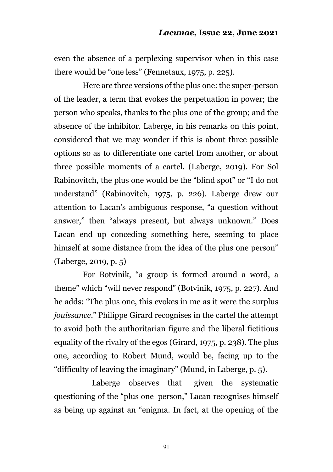even the absence of a perplexing supervisor when in this case there would be "one less" (Fennetaux, 1975, p. 225).

Here are three versions of the plus one: the super-person of the leader, a term that evokes the perpetuation in power; the person who speaks, thanks to the plus one of the group; and the absence of the inhibitor. Laberge, in his remarks on this point, considered that we may wonder if this is about three possible options so as to differentiate one cartel from another, or about three possible moments of a cartel. (Laberge, 2019). For Sol Rabinovitch, the plus one would be the "blind spot" or "I do not understand" (Rabinovitch, 1975, p. 226). Laberge drew our attention to Lacan's ambiguous response, "a question without answer," then "always present, but always unknown." Does Lacan end up conceding something here, seeming to place himself at some distance from the idea of the plus one person" (Laberge, 2019, p. 5)

 For Botvinik, "a group is formed around a word, a theme" which "will never respond" (Botvinik, 1975, p. 227). And he adds: "The plus one, this evokes in me as it were the surplus *jouissance*." Philippe Girard recognises in the cartel the attempt to avoid both the authoritarian figure and the liberal fictitious equality of the rivalry of the egos (Girard, 1975, p. 238). The plus one, according to Robert Mund, would be, facing up to the "difficulty of leaving the imaginary" (Mund, in Laberge, p. 5).

 Laberge observes that given the systematic questioning of the "plus one person," Lacan recognises himself as being up against an "enigma. In fact, at the opening of the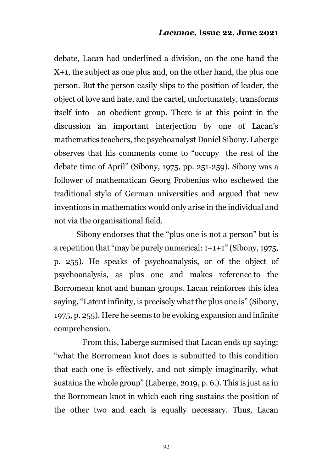debate, Lacan had underlined a division, on the one hand the X+1, the subject as one plus and, on the other hand, the plus one person. But the person easily slips to the position of leader, the object of love and hate, and the cartel, unfortunately, transforms itself into an obedient group. There is at this point in the discussion an important interjection by one of Lacan's mathematics teachers, the psychoanalyst Daniel Sibony. Laberge observes that his comments come to "occupy the rest of the debate time of April" (Sibony, 1975, pp. 251-259). Sibony was a follower of mathematican Georg Frobenius who eschewed the traditional style of German universities and argued that new inventions in mathematics would only arise in the individual and not via the organisational field.

Sibony endorses that the "plus one is not a person" but is a repetition that "may be purely numerical:  $1+1+1$ " (Sibony, 1975, p. 255). He speaks of psychoanalysis, or of the object of psychoanalysis, as plus one and makes reference to the Borromean knot and human groups. Lacan reinforces this idea saying, "Latent infinity, is precisely what the plus one is" (Sibony, 1975, p. 255). Here he seems to be evoking expansion and infinite comprehension.

From this, Laberge surmised that Lacan ends up saying: "what the Borromean knot does is submitted to this condition that each one is effectively, and not simply imaginarily, what sustains the whole group" (Laberge, 2019, p. 6.). This is just as in the Borromean knot in which each ring sustains the position of the other two and each is equally necessary. Thus, Lacan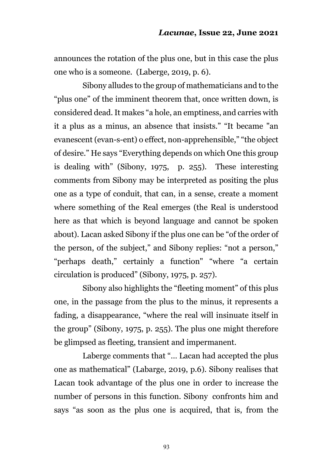announces the rotation of the plus one, but in this case the plus one who is a someone. (Laberge, 2019, p. 6).

Sibony alludes to the group of mathematicians and to the "plus one" of the imminent theorem that, once written down, is considered dead. It makes "a hole, an emptiness, and carries with it a plus as a minus, an absence that insists." "It became "an evanescent (evan-s-ent) o effect, non-apprehensible," "the object of desire." He says "Everything depends on which One this group is dealing with" (Sibony, 1975, p. 255). These interesting comments from Sibony may be interpreted as positing the plus one as a type of conduit, that can, in a sense, create a moment where something of the Real emerges (the Real is understood here as that which is beyond language and cannot be spoken about). Lacan asked Sibony if the plus one can be "of the order of the person, of the subject," and Sibony replies: "not a person," "perhaps death," certainly a function" "where "a certain circulation is produced" (Sibony, 1975, p. 257).

Sibony also highlights the "fleeting moment" of this plus one, in the passage from the plus to the minus, it represents a fading, a disappearance, "where the real will insinuate itself in the group" (Sibony, 1975, p. 255). The plus one might therefore be glimpsed as fleeting, transient and impermanent.

Laberge comments that "… Lacan had accepted the plus one as mathematical" (Labarge, 2019, p.6). Sibony realises that Lacan took advantage of the plus one in order to increase the number of persons in this function. Sibony confronts him and says "as soon as the plus one is acquired, that is, from the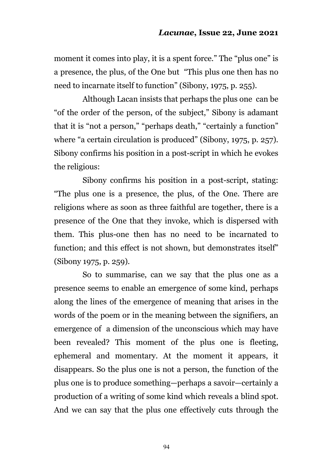moment it comes into play, it is a spent force." The "plus one" is a presence, the plus, of the One but "This plus one then has no need to incarnate itself to function" (Sibony, 1975, p. 255).

Although Lacan insists that perhaps the plus one can be "of the order of the person, of the subject," Sibony is adamant that it is "not a person," "perhaps death," "certainly a function" where "a certain circulation is produced" (Sibony, 1975, p. 257). Sibony confirms his position in a post-script in which he evokes the religious:

Sibony confirms his position in a post-script, stating: "The plus one is a presence, the plus, of the One. There are religions where as soon as three faithful are together, there is a presence of the One that they invoke, which is dispersed with them. This plus-one then has no need to be incarnated to function; and this effect is not shown, but demonstrates itself" (Sibony 1975, p. 259).

So to summarise, can we say that the plus one as a presence seems to enable an emergence of some kind, perhaps along the lines of the emergence of meaning that arises in the words of the poem or in the meaning between the signifiers, an emergence of a dimension of the unconscious which may have been revealed? This moment of the plus one is fleeting, ephemeral and momentary. At the moment it appears, it disappears. So the plus one is not a person, the function of the plus one is to produce something—perhaps a savoir—certainly a production of a writing of some kind which reveals a blind spot. And we can say that the plus one effectively cuts through the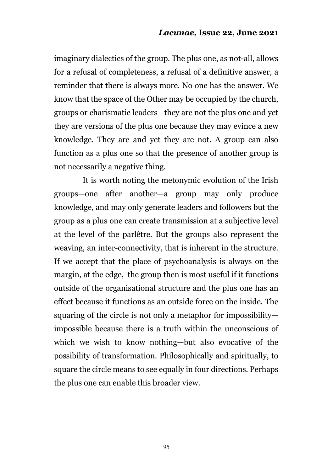imaginary dialectics of the group. The plus one, as not-all, allows for a refusal of completeness, a refusal of a definitive answer, a reminder that there is always more. No one has the answer. We know that the space of the Other may be occupied by the church, groups or charismatic leaders—they are not the plus one and yet they are versions of the plus one because they may evince a new knowledge. They are and yet they are not. A group can also function as a plus one so that the presence of another group is not necessarily a negative thing.

It is worth noting the metonymic evolution of the Irish groups—one after another—a group may only produce knowledge, and may only generate leaders and followers but the group as a plus one can create transmission at a subjective level at the level of the parlêtre. But the groups also represent the weaving, an inter-connectivity, that is inherent in the structure. If we accept that the place of psychoanalysis is always on the margin, at the edge, the group then is most useful if it functions outside of the organisational structure and the plus one has an effect because it functions as an outside force on the inside. The squaring of the circle is not only a metaphor for impossibility impossible because there is a truth within the unconscious of which we wish to know nothing—but also evocative of the possibility of transformation. Philosophically and spiritually, to square the circle means to see equally in four directions. Perhaps the plus one can enable this broader view.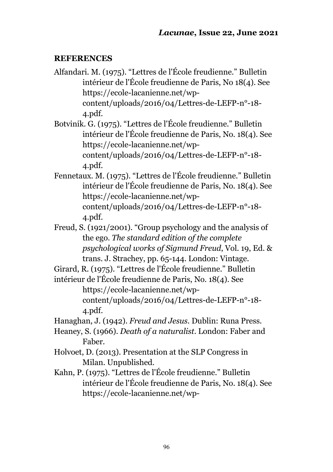#### **REFERENCES**

Alfandari. M. (1975). "Lettres de l'École freudienne." Bulletin intérieur de l'École freudienne de Paris, No 18(4). See https://ecole-lacanienne.net/wpcontent/uploads/2016/04/Lettres-de-LEFP-n°-18- 4.pdf.

Botvinik. G. (1975). "Lettres de l'École freudienne." Bulletin intérieur de l'École freudienne de Paris, No. 18(4). See https://ecole-lacanienne.net/wpcontent/uploads/2016/04/Lettres-de-LEFP-n°-18- 4.pdf.

Fennetaux. M. (1975). "Lettres de l'École freudienne." Bulletin intérieur de l'École freudienne de Paris, No. 18(4). See https://ecole-lacanienne.net/wpcontent/uploads/2016/04/Lettres-de-LEFP-n°-18- 4.pdf.

Freud, S. (1921/2001). "Group psychology and the analysis of the ego. *The standard edition of the complete psychological works of Sigmund Freud*, Vol. 19, Ed. & trans. J. Strachey, pp. 65-144. London: Vintage.

Girard, R. (1975). "Lettres de l'École freudienne." Bulletin intérieur de l'École freudienne de Paris, No. 18(4). See

https://ecole-lacanienne.net/wpcontent/uploads/2016/04/Lettres-de-LEFP-n°-18-

4.pdf.

Hanaghan, J. (1942). *Freud and Jesus*. Dublin: Runa Press.

Heaney, S. (1966). *Death of a naturalist*. London: Faber and Faber.

- Holvoet, D. (2013). Presentation at the SLP Congress in Milan. Unpublished.
- Kahn, P. (1975). "Lettres de l'École freudienne." Bulletin intérieur de l'École freudienne de Paris, No. 18(4). See https://ecole-lacanienne.net/wp-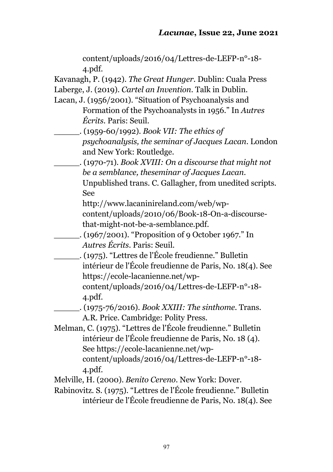| content/uploads/2016/04/Lettres-de-LEFP-n°-18-                  |
|-----------------------------------------------------------------|
| 4.pdf.                                                          |
| Kavanagh, P. (1942). The Great Hunger. Dublin: Cuala Press      |
| Laberge, J. (2019). Cartel an Invention. Talk in Dublin.        |
| Lacan, J. (1956/2001). "Situation of Psychoanalysis and         |
| Formation of the Psychoanalysts in 1956." In Autres             |
| <i>Écrits.</i> Paris: Seuil.                                    |
| $(1959-60/1992)$ . Book VII: The ethics of                      |
| psychoanalysis, the seminar of Jacques Lacan. London            |
| and New York: Routledge.                                        |
| . (1970-71). Book XVIII: On a discourse that might not          |
| be a semblance, theseminar of Jacques Lacan.                    |
| Unpublished trans. C. Gallagher, from unedited scripts.         |
| See                                                             |
| http://www.lacaninireland.com/web/wp-                           |
| content/uploads/2010/06/Book-18-On-a-discourse-                 |
| that-might-not-be-a-semblance.pdf.                              |
| $(1967/2001)$ . "Proposition of 9 October 1967." In             |
| Autres Écrits. Paris: Seuil.                                    |
| . (1975). "Lettres de l'École freudienne." Bulletin             |
| intérieur de l'École freudienne de Paris, No. 18(4). See        |
| https://ecole-lacanienne.net/wp-                                |
| content/uploads/2016/04/Lettres-de-LEFP-n°-18-<br>4.pdf.        |
| $(1975-76/2016)$ . Book XXIII: The sinthome. Trans.             |
| A.R. Price. Cambridge: Polity Press.                            |
| Melman, C. (1975). "Lettres de l'École freudienne." Bulletin    |
| intérieur de l'École freudienne de Paris, No. 18 (4).           |
| See https://ecole-lacanienne.net/wp-                            |
| content/uploads/2016/04/Lettres-de-LEFP-n°-18-                  |
| 4.pdf.                                                          |
| Melville, H. (2000). Benito Cereno. New York: Dover.            |
| Behinoutry S. (1075) "I ottres de l'École froudienne." Pulletin |

Rabinovitz. S. (1975). "Lettres de l'École freudienne." Bulletin intérieur de l'École freudienne de Paris, No. 18(4). See